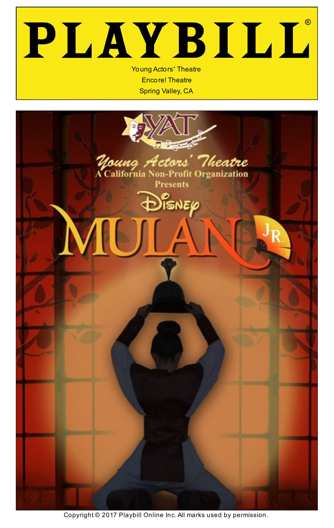# PLAYBILL Young Actors' Theatre

Encore! Theatre Spring Valley, CA

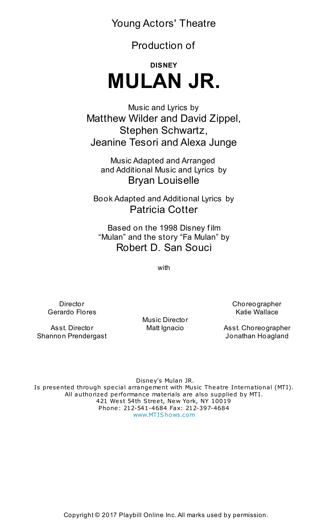Young Actors' Theatre

Production of

## **DISNEY MULAN JR.**

Music and Lyrics by Matthew Wilder and David Zippel, Stephen Schwartz, Jeanine Tesori and Alexa Junge

Music Adapted and Arranged and Additional Music and Lyrics by Bryan Louiselle

Book Adapted and Additional Lyrics by Patricia Cotter

Based on the 1998 Disney f ilm "Mulan" and the story "Fa Mulan" by Robert D. San Souci

with

Director Gerardo Flores

Asst. Director Shannon Prendergast Music Director Matt Ignacio Choreographer Katie Wallace

Asst. Choreographer Jonathan Hoagland

Disney's Mulan JR. Is presented through special arrangement with Music Theatre International (MTI). All authorized performance materials are also supplied by MTI. 421 West 54th Street, New York, NY 10019 Phone: 212-541-4684 Fax: 212-397-4684 [www.MTIShows.com](http://www.mtishows.com/)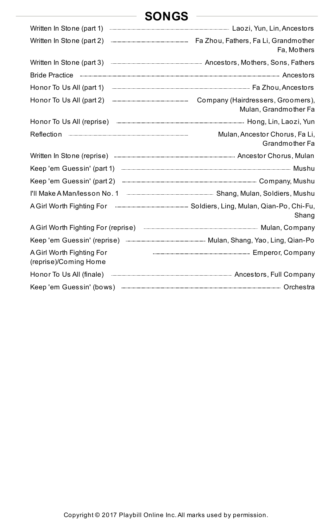## **SONGS**

| Written In Stone (part 1)                                                                                                                                                                                                            |                                                            |
|--------------------------------------------------------------------------------------------------------------------------------------------------------------------------------------------------------------------------------------|------------------------------------------------------------|
| Written In Stone (part 2)                                                                                                                                                                                                            | Fa, Mothers                                                |
| Written In Stone (part 3)                                                                                                                                                                                                            |                                                            |
|                                                                                                                                                                                                                                      |                                                            |
| Honor To Us All (part 1)                                                                                                                                                                                                             |                                                            |
| Honor To Us All (part 2)                                                                                                                                                                                                             | Company (Hairdressers, Groomers),<br>Mulan, Grandmother Fa |
| Honor To Us All (reprise) <b>Example 19 All (reprise</b> ) <b>The Constitution</b> Hong, Lin, Laozi, Yun                                                                                                                             |                                                            |
|                                                                                                                                                                                                                                      | Mulan, Ancestor Chorus, Fa Li,<br>Grandmother Fa           |
| Written In Stone (reprise) <b>Exercisian Construct Constant Constant Constant Constant Constant Constant Constant Constant Constant Constant Constant Constant Constant Constant Constant Constant Constant Constant Constant Co</b> |                                                            |
| Keep 'em Guessin' (part 1)                                                                                                                                                                                                           |                                                            |
| Keep 'em Guessin' (part 2)                                                                                                                                                                                                           |                                                            |
| I'll Make A Man/lesson No. 1                                                                                                                                                                                                         |                                                            |
| A Girl Worth Fighting For                                                                                                                                                                                                            | Shang                                                      |
| A Girl Worth Fighting For (reprise) <b>And All Action Control Control Control</b> Mulan, Company                                                                                                                                     |                                                            |
|                                                                                                                                                                                                                                      |                                                            |
| A Girl Worth Fighting For<br>(reprise)/Coming Home                                                                                                                                                                                   |                                                            |
| Honor To Us All (finale) <b>Alliam Company</b> (in the manufacture of the manufacture of the manufacture of the manufacture of the Company                                                                                           |                                                            |
|                                                                                                                                                                                                                                      |                                                            |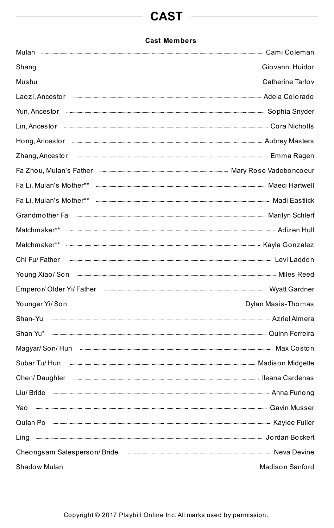## **CAST**

#### **Cast Members**

| Yun, Ancestor <b>www.warene.community.community.community</b> Sophia Snyder                                                                                                                                                          |  |
|--------------------------------------------------------------------------------------------------------------------------------------------------------------------------------------------------------------------------------------|--|
|                                                                                                                                                                                                                                      |  |
| Hong, Ancestor <b>Constitution</b> and Construction and Alters                                                                                                                                                                       |  |
|                                                                                                                                                                                                                                      |  |
|                                                                                                                                                                                                                                      |  |
|                                                                                                                                                                                                                                      |  |
|                                                                                                                                                                                                                                      |  |
|                                                                                                                                                                                                                                      |  |
|                                                                                                                                                                                                                                      |  |
|                                                                                                                                                                                                                                      |  |
|                                                                                                                                                                                                                                      |  |
|                                                                                                                                                                                                                                      |  |
| Emperor/Older Yi/Father [1999] [2009] [2009] [2009] [2009] [2010] [2010] [3009] [3009] [3009] [3009] [3009] [3009] [3009] [3009] [3009] [3009] [3009] [3009] [3009] [3009] [3009] [3009] [3009] [3009] [3009] [3009] [3009] [3       |  |
| Younger Yi/ Son <b>with the contract of the contract of the contract of the contract of the contract of the contract of the contract of the contract of the contract of the contract of the contract of the contract of the cont</b> |  |
|                                                                                                                                                                                                                                      |  |
| Shan Yu* managazana managazana karena di Quinn Ferreira                                                                                                                                                                              |  |
|                                                                                                                                                                                                                                      |  |
|                                                                                                                                                                                                                                      |  |
|                                                                                                                                                                                                                                      |  |
|                                                                                                                                                                                                                                      |  |
|                                                                                                                                                                                                                                      |  |
|                                                                                                                                                                                                                                      |  |
| Ling Manual Jordan Bockert                                                                                                                                                                                                           |  |
|                                                                                                                                                                                                                                      |  |
|                                                                                                                                                                                                                                      |  |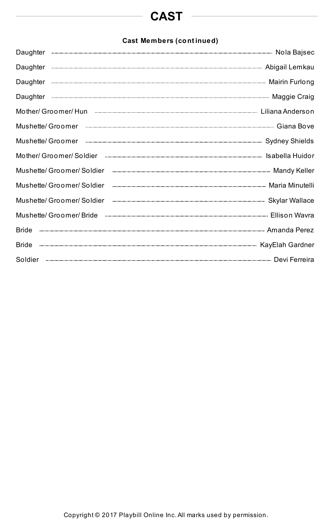## **CAST**

#### **Cast Members (cont inued)**

| Daughter                                                                                                                                                                                                             |
|----------------------------------------------------------------------------------------------------------------------------------------------------------------------------------------------------------------------|
| Daughter                                                                                                                                                                                                             |
| Daughter                                                                                                                                                                                                             |
| Daughter                                                                                                                                                                                                             |
| Mother/Groomer/Hun<br>Mother/Groomer/Hun<br>Mother/Groomer/Hun<br>Mother/Groomer/Hun<br>Mother/Groomer/Hun<br>Mother/Groomer/Hun<br>Mother/Groomer/Hun<br>Mother/Groomer/Hun<br>Mother/Groomer/Hun <br< td=""></br<> |
| Mushette/ Groomer                                                                                                                                                                                                    |
| Mushette/ Groomer                                                                                                                                                                                                    |
| Mother/ Groomer/ Soldier                                                                                                                                                                                             |
| Mushette/ Groomer/ Soldier                                                                                                                                                                                           |
| Mushette/ Groomer/ Soldier                                                                                                                                                                                           |
| Mushette/ Groomer/ Soldier                                                                                                                                                                                           |
| Mushette/ Groomer/ Bride                                                                                                                                                                                             |
| <b>Bride</b>                                                                                                                                                                                                         |
| <b>Bride</b>                                                                                                                                                                                                         |
| Soldier                                                                                                                                                                                                              |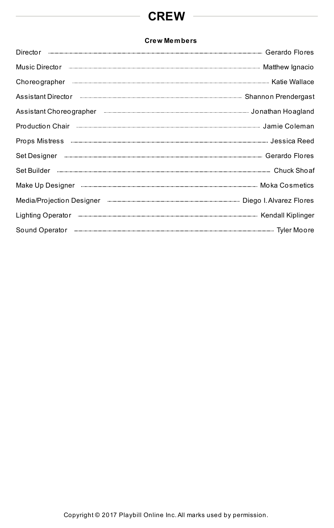## **CREW**

<u> 1980 - Johann Barbara, martin a</u>

#### **Crew Members**

| <b>Director</b>                                                                                                              |  |
|------------------------------------------------------------------------------------------------------------------------------|--|
| Music Director                                                                                                               |  |
| Choreographer                                                                                                                |  |
| Assistant Director                                                                                                           |  |
| Assistant Choreographer <b>Entity of the Constant Choreographer</b> Service Construction Construction and Assistant Hoagland |  |
| Production Chair                                                                                                             |  |
| <b>Props Mistress</b>                                                                                                        |  |
| Set Designer                                                                                                                 |  |
| Set Builder                                                                                                                  |  |
| Make Up Designer                                                                                                             |  |
| Media/Projection Designer <b>Constitution</b> Service Diego I. Alvarez Flores                                                |  |
| Lighting Operator                                                                                                            |  |
| Sound Operator                                                                                                               |  |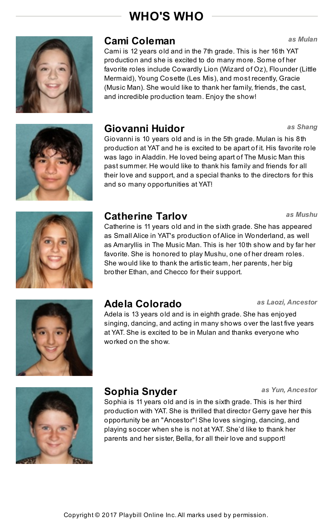*as Shang*



### **Cami Coleman** *as Mulan*

Cami is 12 years old and in the 7th grade. This is her 16th YAT production and she is excited to do many more. Some of her favorite roles include Cowardly Lion (Wizard of Oz), Flounder (Little Mermaid), Young Cosette (Les Mis), and most recently, Gracie (Music Man). She would like to thank her family, friends, the cast, and incredible production team. Enjoy the show!

#### **Giovanni Huidor**

Giovanni is 10 years old and is in the 5th grade. Mulan is his 8th production at YAT and he is excited to be apart of it. His favorite role was Iago in Aladdin. He loved being apart of The Music Man this past summer. He would like to thank his family and friends for all their love and support, and a special thanks to the directors for this and so many opportunities at YAT!



### **Catherine Tarlov**

Catherine is 11 years old and in the sixth grade. She has appeared as Small Alice in YAT's production ofAlice in Wonderland, as well as Amaryllis in The Music Man. This is her 10th show and by far her favorite. She is honored to play Mushu, one of her dream roles. She would like to thank the artistic team, her parents, her big brother Ethan, and Checco for their support.



### **Adela Colorado** *as Laozi, Ancestor*

Adela is 13 years old and is in eighth grade. She has enjoyed singing, dancing, and acting in many shows over the last five years at YAT. She is excited to be in Mulan and thanks everyone who worked on the show.



#### **Sophia Snyder**

Sophia is 11 years old and is in the sixth grade. This is her third production with YAT. She is thrilled that director Gerry gave her this opportunity be an "Ancestor"! She loves singing, dancing, and playing soccer when she is not at YAT. She'd like to thank her parents and her sister, Bella, for all their love and support!

*as Mushu*

*as Yun, Ancestor*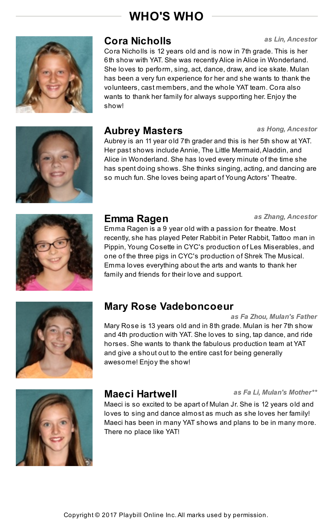

#### **Cora Nicholls**

*as Lin, Ancestor*

*as Hong, Ancestor*

Cora Nicholls is 12 years old and is now in 7th grade. This is her 6th show with YAT. She was recently Alice in Alice in Wonderland. She loves to perform, sing, act, dance, draw, and ice skate. Mulan has been a very fun experience for her and she wants to thank the volunteers, cast members, and the whole YAT team. Cora also wants to thank her family for always supporting her. Enjoy the show!



#### **Aubrey Masters**

Aubrey is an 11 year old 7th grader and this is her 5th show at YAT. Her past shows include Annie, The Little Mermaid,Aladdin, and Alice in Wonderland. She has loved every minute of the time she has spent doing shows. She thinks singing, acting, and dancing are so much fun. She loves being apart of Young Actors' Theatre.



#### **Emma Ragen** *as Zhang, Ancestor*

Emma Ragen is a 9 year old with a passion for theatre. Most recently, she has played Peter Rabbit in Peter Rabbit, Tattoo man in Pippin, Young Cosette in CYC's production of Les Miserables, and one of the three pigs in CYC's production of Shrek The Musical. Emma loves everything about the arts and wants to thank her family and friends for their love and support.



### **Mary Rose Vadeboncoeur**

*as Fa Zhou, Mulan's Father* Mary Rose is 13 years old and in 8th grade. Mulan is her 7th show and 4th production with YAT. She loves to sing, tap dance, and ride horses. She wants to thank the fabulous production team at YAT and give a shout out to the entire cast for being generally awesome! Enjoy the show!



### **Maeci Hartwell** *as Fa Li, Mulan's Mother\*\**

Maeci is so excited to be apart of Mulan Jr. She is 12 years old and loves to sing and dance almost as much as she loves her family! Maeci has been in many YAT shows and plans to be in many more. There no place like YAT!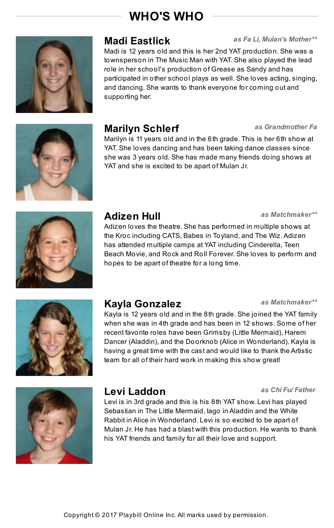

#### **Madi Eastlick**

*as Fa Li, Mulan's Mother\*\**

Madi is 12 years old and this is her 2nd YAT production. She was a townsperson in The Music Man with YAT. She also played the lead role in her school's production of Grease as Sandy and has participated in other school plays as well. She loves acting, singing, and dancing. She wants to thank everyone for coming out and supporting her.



### **Marilyn Schlerf** *as Grandmother Fa*

Marilyn is 11 years old and in the 6th grade. This is her 6th show at YAT. She loves dancing and has been taking dance classes since she was 3 years old. She has made many friends doing shows at YAT and she is excited to be apart of Mulan Jr.



#### **Adizen Hull** *as Matchmaker\*\**

Adizen loves the theatre. She has performed in multiple shows at the Kroc including CATS, Babes in Toyland, and The Wiz.Adizen has attended multiple camps at YAT including Cinderella, Teen Beach Movie, and Rock and Roll Forever. She loves to perform and hopes to be apart of theatre for a long time.



### **Kayla Gonzalez**

Kayla is 12 years old and in the 8th grade. She joined the YAT family when she was in 4th grade and has been in 12 shows. Some of her recent favorite roles have been Grimsby (Little Mermaid), Harem Dancer (Aladdin), and the Doorknob (Alice in Wonderland). Kayla is having a great time with the cast and would like to thank the Artistic team for all of their hard work in making this show great!



#### **Levi Laddon** *as Chi Fu/ Father*

Levi is in 3rd grade and this is his 8th YAT show. Levi has played Sebastian in The Little Mermaid, Iago in Aladdin and the White Rabbit in Alice in Wonderland. Levi is so excited to be apart of Mulan Jr. He has had a blast with this production. He wants to thank his YAT friends and family for all their love and support.

*as Matchmaker\*\**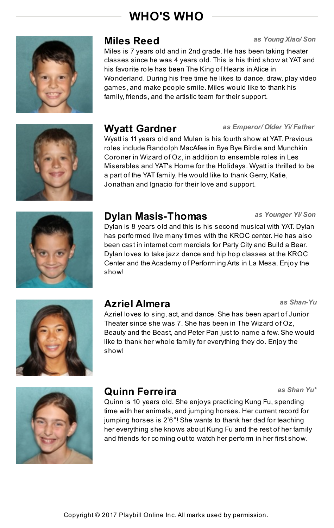

#### **Miles Reed** *as Young Xiao/ Son*

Miles is 7 years old and in 2nd grade. He has been taking theater classes since he was 4 years old. This is his third show at YAT and his favorite role has been The King of Hearts in Alice in Wonderland. During his free time he likes to dance, draw, play video games, and make people smile. Miles would like to thank his family, friends, and the artistic team for their support.



#### **Wyatt Gardner**

Wyatt is 11 years old and Mulan is his fourth show at YAT. Previous roles include Randolph MacAfee in Bye Bye Birdie and Munchkin Coroner in Wizard of Oz, in addition to ensemble roles in Les Miserables and YAT's Home for the Holidays. Wyatt is thrilled to be a part of the YAT family. He would like to thank Gerry, Katie, Jonathan and Ignacio for their love and support.



#### **Dylan Masis-Thomas**

Dylan is 8 years old and this is his second musical with YAT. Dylan has performed live many times with the KROC center. He has also been cast in internet commercials for Party City and Build a Bear. Dylan loves to take jazz dance and hip hop classes at the KROC Center and the Academy of Performing Arts in La Mesa. Enjoy the show!



### **Azriel Almera**

Azriel loves to sing, act, and dance. She has been apart of Junior Theater since she was 7. She has been in The Wizard of Oz, Beauty and the Beast, and Peter Pan just to name a few. She would like to thank her whole family for everything they do. Enjoy the show!



#### **Quinn Ferreira**

Quinn is 10 years old. She enjoys practicing Kung Fu, spending time with her animals, and jumping horses. Her current record for jumping horses is 2'6"! She wants to thank her dad for teaching her everything she knows about Kung Fu and the rest of her family and friends for coming out to watch her perform in her first show.

#### *as Younger Yi/ Son*

*as Shan-Yu*

*as Shan Yu\**

*as Emperor/ Older Yi/ Father*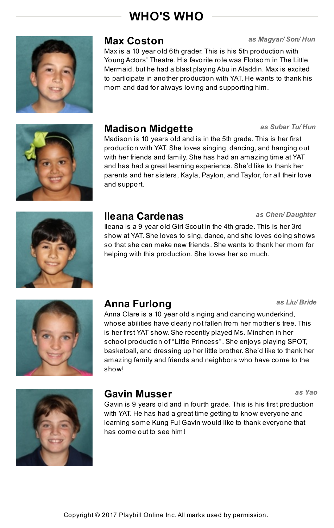

#### **Max Coston** *as Magyar/ Son/ Hun*

Max is a 10 year old 6th grader. This is his 5th production with Young Actors' Theatre. His favorite role was Flotsom in The Little Mermaid, but he had a blast playing Abu in Aladdin. Max is excited to participate in another production with YAT. He wants to thank his mom and dad for always loving and supporting him.



#### **Madison Midgette**

Madison is 10 years old and is in the 5th grade. This is her first production with YAT. She loves singing, dancing, and hanging out with her friends and family. She has had an amazing time at YAT and has had a great learning experience. She'd like to thank her parents and her sisters, Kayla, Payton, and Taylor, for all their love and support.



#### **Ileana Cardenas**

Ileana is a 9 year old Girl Scout in the 4th grade. This is her 3rd show at YAT. She loves to sing, dance, and she loves doing shows so that she can make new friends. She wants to thank her mom for helping with this production. She loves her so much.

#### *as Chen/ Daughter*

*as Subar Tu/ Hun*



#### **Anna Furlong** *as Liu/ Bride*

Anna Clare is a 10 year old singing and dancing wunderkind, whose abilities have clearly not fallen from her mother's tree. This is her first YAT show. She recently played Ms. Minchen in her school production of "Little Princess". She enjoys playing SPOT, basketball, and dressing up her little brother. She'd like to thank her amazing family and friends and neighbors who have come to the show!



#### **Gavin Musser**

Gavin is 9 years old and in fourth grade. This is his first production with YAT. He has had a great time getting to know everyone and learning some Kung Fu! Gavin would like to thank everyone that has come out to see him!

*as Yao*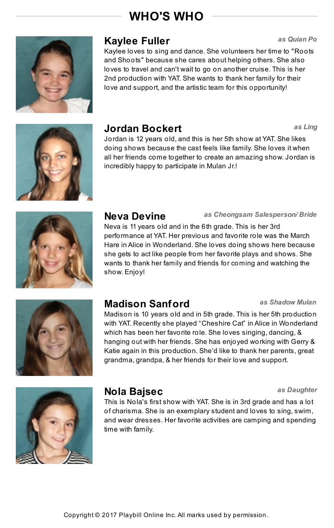

#### **Kaylee Fuller**

Kaylee loves to sing and dance. She volunteers her time to "Roots and Shoots" because she cares about helping others. She also loves to travel and can't wait to go on another cruise. This is her 2nd production with YAT. She wants to thank her family for their love and support, and the artistic team for this opportunity!



### **Jordan Bockert** *as Ling*

Jordan is 12 years old, and this is her 5th show at YAT. She likes doing shows because the cast feels like family. She loves it when all her friends come together to create an amazing show. Jordan is incredibly happy to participate in Mulan Jr.!



#### **Neva Devine**

Neva is 11 years old and in the 6th grade. This is her 3rd performance at YAT. Her previous and favorite role was the March Hare in Alice in Wonderland. She loves doing shows here because she gets to act like people from her favorite plays and shows. She wants to thank her family and friends for coming and watching the show. Enjoy!



### **Madison Sanford** *as Shadow Mulan*

Madison is 10 years old and in 5th grade. This is her 5th production with YAT. Recently she played "Cheshire Cat" in Alice in Wonderland which has been her favorite role. She loves singing, dancing, & hanging out with her friends. She has enjoyed working with Gerry & Katie again in this production. She'd like to thank her parents, great grandma, grandpa, & her friends for their love and support.



#### **Nola Bajsec**

This is Nola's first show with YAT. She is in 3rd grade and has a lot of charisma. She is an exemplary student and loves to sing, swim, and wear dresses. Her favorite activities are camping and spending time with family.

#### *as Cheongsam Salesperson/ Bride*

*as Daughter*

*as Quian Po*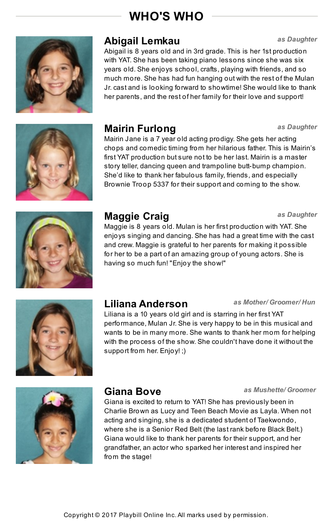

#### **Abigail Lemkau** *as Daughter*

Abigail is 8 years old and in 3rd grade. This is her 1st production with YAT. She has been taking piano lessons since she was six years old. She enjoys school, crafts, playing with friends, and so much more. She has had fun hanging out with the rest of the Mulan Jr. cast and is looking forward to showtime! She would like to thank her parents, and the rest of her family for their love and support!

### **Mairin Furlong** *as Daughter*

Mairin Jane is a 7 year old acting prodigy. She gets her acting chops and comedic timing from her hilarious father. This is Mairin's first YAT production but sure not to be her last. Mairin is a master story teller, dancing queen and trampoline butt-bump champion. She'd like to thank her fabulous family, friends, and especially Brownie Troop 5337 for their support and coming to the show.



#### **Maggie Craig** *as Daughter*

Maggie is 8 years old. Mulan is her first production with YAT. She enjoys singing and dancing. She has had a great time with the cast and crew. Maggie is grateful to her parents for making it possible for her to be a part of an amazing group of young actors. She is having so much fun! "Enjoy the show!"



#### **Liliana Anderson** *as Mother/ Groomer/ Hun*

Liliana is a 10 years old girl and is starring in her first YAT performance, Mulan Jr. She is very happy to be in this musical and wants to be in many more. She wants to thank her mom for helping with the process of the show. She couldn't have done it without the support from her. Enjoy! ;)



#### **Giana Bove**

Giana is excited to return to YAT! She has previously been in Charlie Brown as Lucy and Teen Beach Movie as Layla. When not acting and singing, she is a dedicated student of Taekwondo, where she is a Senior Red Belt (the last rank before Black Belt.) Giana would like to thank her parents for their support, and her grandfather, an actor who sparked her interest and inspired her from the stage!

#### *as Mushette/ Groomer*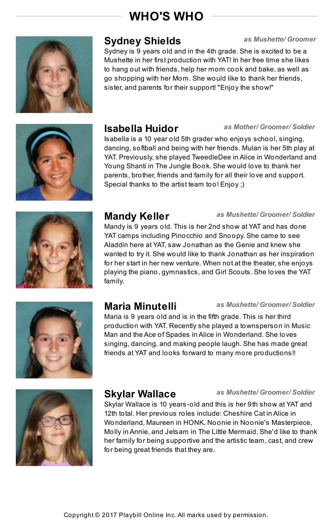

#### **Sydney Shields**

Sydney is 9 years old and in the 4th grade. She is excited to be a Mushette in her first production with YAT! In her free time she likes to hang out with friends, help her mom cook and bake, as well as

*as Mushette/ Groomer*

*as Mother/ Groomer/ Soldier*

go shopping with her Mom. She would like to thank her friends, sister, and parents for their support! "Enjoy the show!"



#### **Isabella Huidor**

Isabella is a 10 year old 5th grader who enjoys school, singing, dancing, softball and being with her friends. Mulan is her 5th play at YAT. Previously, she played TweedleDee in Alice in Wonderland and Young Shanti in The Jungle Book. She would love to thank her parents, brother, friends and family for all their love and support. Special thanks to the artist team too! Enjoy ;)



#### **Mandy Keller**

*as Mushette/ Groomer/ Soldier*

*as Mushette/ Groomer/ Soldier*

Mandy is 9 years old. This is her 2nd show at YAT and has done YAT camps including Pinocchio and Snoopy. She came to see Aladdin here at YAT, saw Jonathan as the Genie and knew she wanted to try it. She would like to thank Jonathan as her inspiration for her start in her new venture. When not at the theater, she enjoys playing the piano, gymnastics, and Girl Scouts. She loves the YAT family.



#### **Maria Minutelli** *as Mushette/ Groomer/ Soldier*

Maria is 9 years old and is in the fifth grade. This is her third production with YAT. Recently she played a townsperson in Music Man and the Ace of Spades in Alice in Wonderland. She loves singing, dancing, and making people laugh. She has made great friends at YAT and looks forward to many more productions!!



#### **Skylar Wallace**

Skylar Wallace is 10 years-old and this is her 9th show at YAT and 12th total. Her previous roles include: Cheshire Cat in Alice in Wonderland, Maureen in HONK, Noonie in Noonie's Masterpiece, Molly in Annie, and Jetsam in The Little Mermaid. She'd like to thank her family for being supportive and the artistic team, cast, and crew for being great friends that they are.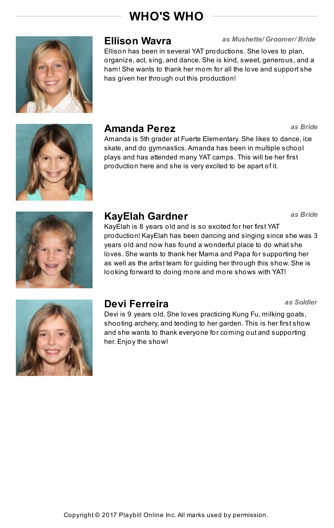

#### **Ellison Wavra**

Ellison has been in several YAT productions. She loves to plan, organize, act, sing, and dance. She is kind, sweet, generous, and a ham! She wants to thank her mom for all the love and support she has given her through out this production!

*as Mushette/ Groomer/ Bride*

*as Bride*

*as Bride*

*as Soldier*



#### **Amanda Perez**

Amanda is 5th grader at Fuerte Elementary. She likes to dance, ice skate, and do gymnastics.Amanda has been in multiple school plays and has attended many YAT camps. This will be her first production here and she is very excited to be apart of it.



#### **KayElah Gardner**

KayElah is 8 years old and is so excited for her first YAT production! KayElah has been dancing and singing since she was 3 years old and now has found a wonderful place to do what she loves. She wants to thank her Mama and Papa for supporting her as well as the artist team for guiding her through this show. She is looking forward to doing more and more shows with YAT!



### **Devi Ferreira**

Devi is 9 years old. She loves practicing Kung Fu, milking goats, shooting archery, and tending to her garden. This is her first show and she wants to thank everyone for coming out and supporting her. Enjoy the show!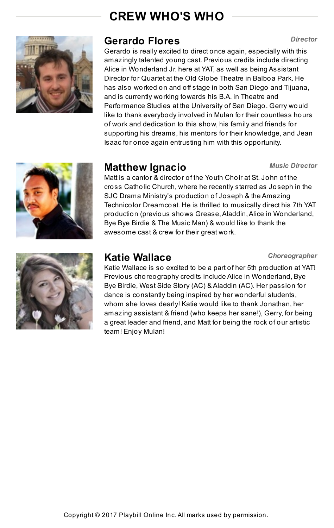## **CREW WHO'S WHO**



#### **Gerardo Flores**

Gerardo is really excited to direct once again, especially with this amazingly talented young cast. Previous credits include directing Alice in Wonderland Jr. here at YAT, as well as being Assistant Director for Quartet at the Old Globe Theatre in Balboa Park. He has also worked on and off stage in both San Diego and Tijuana, and is currently working towards his B.A. in Theatre and Performance Studies at the University of San Diego. Gerry would like to thank everybody involved in Mulan for their countless hours of work and dedication to this show, his family and friends for supporting his dreams, his mentors for their knowledge, and Jean Isaac for once again entrusting him with this opportunity.

#### **Matthew Ignacio** *Music Director*

Matt is a cantor & director of the Youth Choir at St. John of the cross Catholic Church, where he recently starred as Joseph in the SJC Drama Ministry's production of Joseph & the Amazing Technicolor Dreamcoat. He is thrilled to musically direct his 7th YAT production (previous shows Grease,Aladdin,Alice in Wonderland, Bye Bye Birdie & The Music Man) & would like to thank the awesome cast & crew for their great work.



#### **Katie Wallace**

*Choreographer*

Katie Wallace is so excited to be a part of her 5th production at YAT! Previous choreography credits include Alice in Wonderland, Bye Bye Birdie, West Side Story (AC) & Aladdin (AC). Her passion for dance is constantly being inspired by her wonderful students, whom she loves dearly! Katie would like to thank Jonathan, her amazing assistant & friend (who keeps her sane!), Gerry, for being a great leader and friend, and Matt for being the rock of our artistic team! Enjoy Mulan!

#### *Director*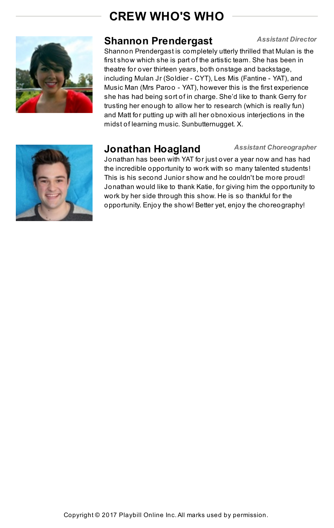## **CREW WHO'S WHO**



#### **Shannon Prendergast** *Assistant Director*

Shannon Prendergast is completely utterly thrilled that Mulan is the first show which she is part of the artistic team. She has been in theatre for over thirteen years, both onstage and backstage, including Mulan Jr (Soldier - CYT), Les Mis (Fantine - YAT), and Music Man (Mrs Paroo - YAT), however this is the first experience she has had being sort of in charge. She'd like to thank Gerry for trusting her enough to allow her to research (which is really fun) and Matt for putting up with all her obnoxious interjections in the midst of learning music. Sunbutternugget. X.



#### **Jonathan Hoagland** *Assistant Choreographer*

Jonathan has been with YAT for just over a year now and has had the incredible opportunity to work with so many talented students! This is his second Junior show and he couldn't be more proud! Jonathan would like to thank Katie, for giving him the opportunity to work by her side through this show. He is so thankful for the opportunity. Enjoy the show! Better yet, enjoy the choreography!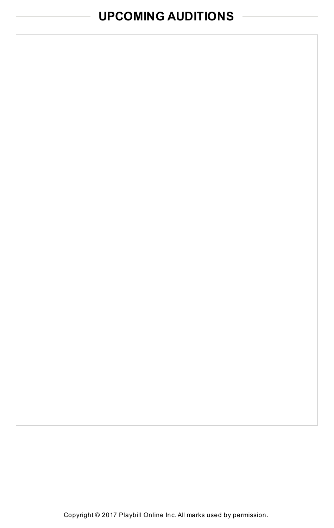## **UPCOMING AUDITIONS**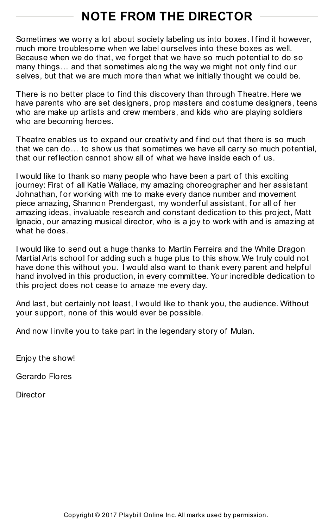## **NOTE FROM THE DIRECTOR**

Sometimes we worry a lot about society labeling us into boxes. I find it however, much more troublesome when we label ourselves into these boxes as well. Because when we do that, we forget that we have so much potential to do so many things... and that sometimes along the way we might not only find our selves, but that we are much more than what we initially thought we could be.

There is no better place to find this discovery than through Theatre. Here we have parents who are set designers, prop masters and costume designers, teens who are make up artists and crew members, and kids who are playing soldiers who are becoming heroes.

Theatre enables us to expand our creativity and find out that there is so much that we can do… to show us that sometimes we have all carry so much potential, that our ref lection cannot show all of what we have inside each of us.

I would like to thank so many people who have been a part of this exciting journey: First of all Katie Wallace, my amazing choreographer and her assistant Johnathan, for working with me to make every dance number and movement piece amazing, Shannon Prendergast, my wonderful assistant, for all of her amazing ideas, invaluable research and constant dedication to this project, Matt Ignacio, our amazing musical director, who is a joy to work with and is amazing at what he does.

I would like to send out a huge thanks to Martin Ferreira and the White Dragon Martial Arts school for adding such a huge plus to this show. We truly could not have done this without you. I would also want to thank every parent and helpful hand involved in this production, in every committee. Your incredible dedication to this project does not cease to amaze me every day.

And last, but certainly not least, I would like to thank you, the audience. Without your support, none of this would ever be possible.

And now I invite you to take part in the legendary story of Mulan.

Enjoy the show!

Gerardo Flores

Director